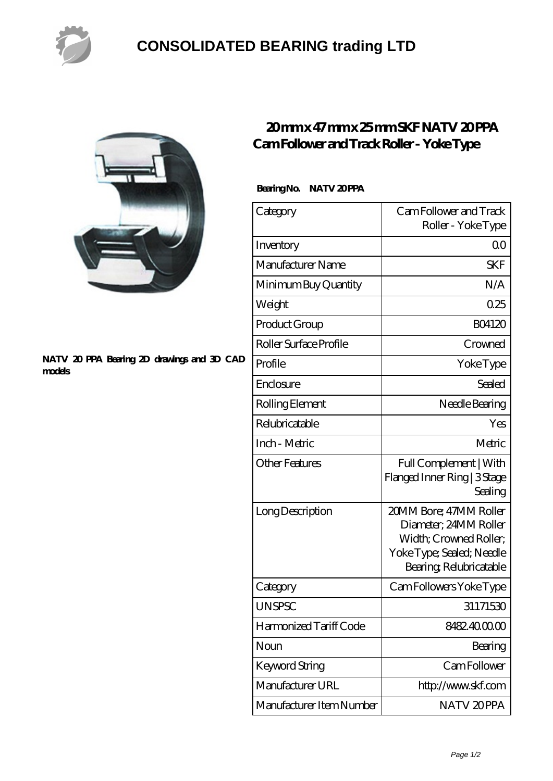

## **[CONSOLIDATED BEARING trading LTD](https://pastmidnightpublishing.com)**



#### **[NATV 20 PPA Bearing 2D drawings and 3D CAD](https://pastmidnightpublishing.com/pic-159304.html) [models](https://pastmidnightpublishing.com/pic-159304.html)**

## **[20 mm x 47 mm x 25 mm SKF NATV 20 PPA](https://pastmidnightpublishing.com/az-159304-skf-natv-20-ppa-cam-follower-and-track-roller-yoke-type.html) [Cam Follower and Track Roller - Yoke Type](https://pastmidnightpublishing.com/az-159304-skf-natv-20-ppa-cam-follower-and-track-roller-yoke-type.html)**

### Bearing No. NATV 20PPA

| Category                 | Cam Follower and Track<br>Roller - Yoke Type                                                                                      |
|--------------------------|-----------------------------------------------------------------------------------------------------------------------------------|
| Inventory                | Q0                                                                                                                                |
| Manufacturer Name        | SKF                                                                                                                               |
| Minimum Buy Quantity     | N/A                                                                                                                               |
| Weight                   | 0.25                                                                                                                              |
| Product Group            | <b>BO4120</b>                                                                                                                     |
| Roller Surface Profile   | Crowned                                                                                                                           |
| Profile                  | YokeType                                                                                                                          |
| Enclosure                | Sealed                                                                                                                            |
| Rolling Element          | Needle Bearing                                                                                                                    |
| Relubricatable           | Yes                                                                                                                               |
| Inch - Metric            | Metric                                                                                                                            |
| Other Features           | Full Complement   With<br>Flanged Inner Ring   3 Stage<br>Sealing                                                                 |
| Long Description         | 20MM Bore; 47MM Roller<br>Diameter, 24MM Roller<br>Width; Crowned Roller;<br>Yoke Type; Sealed; Needle<br>Bearing, Relubricatable |
| Category                 | Cam Followers Yoke Type                                                                                                           |
| <b>UNSPSC</b>            | 31171530                                                                                                                          |
| Harmonized Tariff Code   | 8482.4000.00                                                                                                                      |
| Noun                     | Bearing                                                                                                                           |
| Keyword String           | Cam Follower                                                                                                                      |
| Manufacturer URL         | http://www.skf.com                                                                                                                |
| Manufacturer Item Number | NATV 20PPA                                                                                                                        |